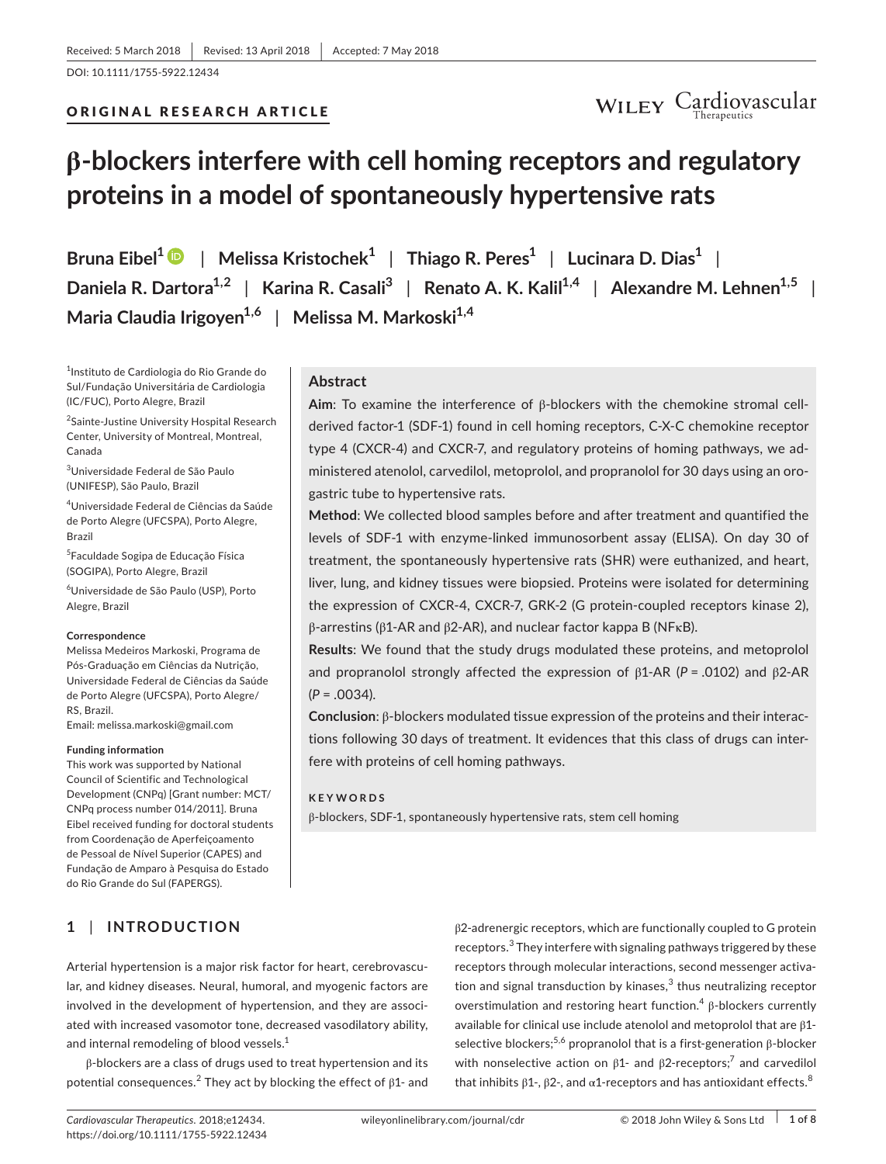DOI: 10.1111/1755-5922.12434



## **β-blockers interfere with cell homing receptors and regulatory proteins in a model of spontaneously hypertensive rats**

**Bruna Eibel[1](http://orcid.org/0000-0002-2077-3751)** | **Melissa Kristochek<sup>1</sup>** | **Thiago R. Peres<sup>1</sup>** | **Lucinara D. Dias<sup>1</sup>** | **Daniela R. Dartora1,2** | **Karina R. Casali<sup>3</sup>** | **Renato A. K. Kalil1,4** | **Alexandre M. Lehnen1,5** | **Maria Claudia Irigoyen1,6** | **Melissa M. Markoski1,4**

1 Instituto de Cardiologia do Rio Grande do Sul/Fundação Universitária de Cardiologia (IC/FUC), Porto Alegre, Brazil

2 Sainte-Justine University Hospital Research Center, University of Montreal, Montreal, Canada

3 Universidade Federal de São Paulo (UNIFESP), São Paulo, Brazil

4 Universidade Federal de Ciências da Saúde de Porto Alegre (UFCSPA), Porto Alegre, Brazil

5 Faculdade Sogipa de Educação Física (SOGIPA), Porto Alegre, Brazil

6 Universidade de São Paulo (USP), Porto Alegre, Brazil

#### **Correspondence**

Melissa Medeiros Markoski, Programa de Pós-Graduação em Ciências da Nutrição, Universidade Federal de Ciências da Saúde de Porto Alegre (UFCSPA), Porto Alegre/ RS, Brazil.

Email: [melissa.markoski@gmail.com](mailto:melissa.markoski@gmail.com)

#### **Funding information**

This work was supported by National Council of Scientific and Technological Development (CNPq) [Grant number: MCT/ CNPq process number 014/2011]. Bruna Eibel received funding for doctoral students from Coordenação de Aperfeiçoamento de Pessoal de Nível Superior (CAPES) and Fundação de Amparo à Pesquisa do Estado do Rio Grande do Sul (FAPERGS).

## **Abstract**

**Aim**: To examine the interference of β-blockers with the chemokine stromal cellderived factor-1 (SDF-1) found in cell homing receptors, C-X-C chemokine receptor type 4 (CXCR-4) and CXCR-7, and regulatory proteins of homing pathways, we administered atenolol, carvedilol, metoprolol, and propranolol for 30 days using an orogastric tube to hypertensive rats.

**Method**: We collected blood samples before and after treatment and quantified the levels of SDF-1 with enzyme-linked immunosorbent assay (ELISA). On day 30 of treatment, the spontaneously hypertensive rats (SHR) were euthanized, and heart, liver, lung, and kidney tissues were biopsied. Proteins were isolated for determining the expression of CXCR-4, CXCR-7, GRK-2 (G protein-coupled receptors kinase 2), β-arrestins (β1-AR and β2-AR), and nuclear factor kappa B (NFκB).

**Results**: We found that the study drugs modulated these proteins, and metoprolol and propranolol strongly affected the expression of β1-AR (*P* = .0102) and β2-AR (*P* = .0034).

**Conclusion**: β-blockers modulated tissue expression of the proteins and their interactions following 30 days of treatment. It evidences that this class of drugs can interfere with proteins of cell homing pathways.

#### **KEYWORDS**

β-blockers, SDF-1, spontaneously hypertensive rats, stem cell homing

**1** | **INTRODUCTION**

Arterial hypertension is a major risk factor for heart, cerebrovascular, and kidney diseases. Neural, humoral, and myogenic factors are involved in the development of hypertension, and they are associated with increased vasomotor tone, decreased vasodilatory ability,

β-blockers are a class of drugs used to treat hypertension and its potential consequences. $^2$  They act by blocking the effect of  $β1$ - and β2-adrenergic receptors, which are functionally coupled to G protein receptors.<sup>3</sup> They interfere with signaling pathways triggered by these receptors through molecular interactions, second messenger activation and signal transduction by kinases, $3$  thus neutralizing receptor overstimulation and restoring heart function.<sup>4</sup> β-blockers currently available for clinical use include atenolol and metoprolol that are β1 selective blockers;<sup>5,6</sup> propranolol that is a first-generation  $\beta$ -blocker with nonselective action on  $β1-$  and  $β2-$ receptors;<sup>7</sup> and carvedilol that inhibits  $β1$ -,  $β2$ -, and α1-receptors and has antioxidant effects.<sup>8</sup>

and internal remodeling of blood vessels.<sup>1</sup>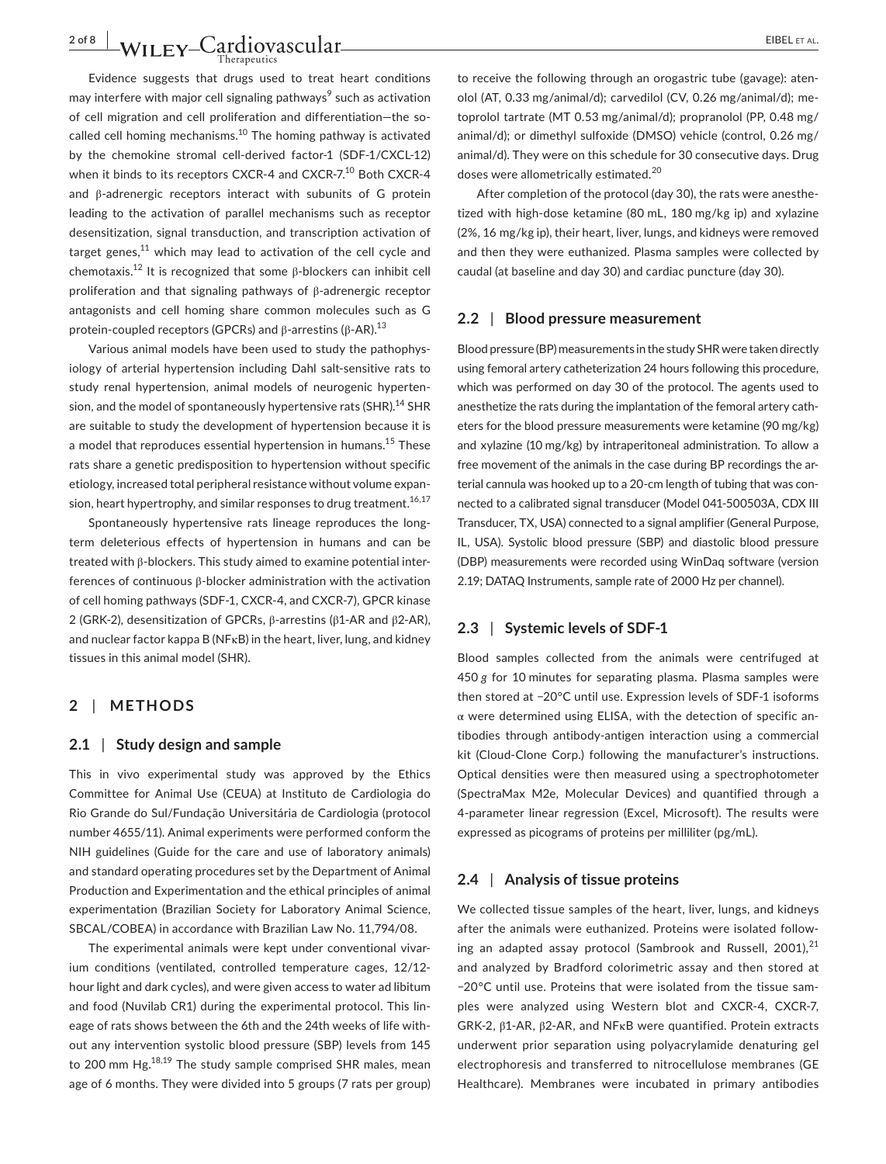Evidence suggests that drugs used to treat heart conditions may interfere with major cell signaling pathways $\textsuperscript{9}$  such as activation of cell migration and cell proliferation and differentiation—the socalled cell homing mechanisms.<sup>10</sup> The homing pathway is activated by the chemokine stromal cell-derived factor-1 (SDF-1/CXCL-12) when it binds to its receptors CXCR-4 and CXCR-7.<sup>10</sup> Both CXCR-4 and β-adrenergic receptors interact with subunits of G protein leading to the activation of parallel mechanisms such as receptor desensitization, signal transduction, and transcription activation of target genes, $11$  which may lead to activation of the cell cycle and chemotaxis.12 It is recognized that some β-blockers can inhibit cell proliferation and that signaling pathways of β-adrenergic receptor antagonists and cell homing share common molecules such as G protein-coupled receptors (GPCRs) and β-arrestins (β-AR).<sup>13</sup>

Various animal models have been used to study the pathophysiology of arterial hypertension including Dahl salt-sensitive rats to study renal hypertension, animal models of neurogenic hypertension, and the model of spontaneously hypertensive rats (SHR).<sup>14</sup> SHR are suitable to study the development of hypertension because it is a model that reproduces essential hypertension in humans.<sup>15</sup> These rats share a genetic predisposition to hypertension without specific etiology, increased total peripheral resistance without volume expansion, heart hypertrophy, and similar responses to drug treatment.<sup>16,17</sup>

Spontaneously hypertensive rats lineage reproduces the longterm deleterious effects of hypertension in humans and can be treated with β-blockers. This study aimed to examine potential interferences of continuous β-blocker administration with the activation of cell homing pathways (SDF-1, CXCR-4, and CXCR-7), GPCR kinase 2 (GRK-2), desensitization of GPCRs, β-arrestins (β1-AR and β2-AR), and nuclear factor kappa B (NFκB) in the heart, liver, lung, and kidney tissues in this animal model (SHR).

## **2** | **METHODS**

#### **2.1** | **Study design and sample**

This in vivo experimental study was approved by the Ethics Committee for Animal Use (CEUA) at Instituto de Cardiologia do Rio Grande do Sul/Fundação Universitária de Cardiologia (protocol number 4655/11). Animal experiments were performed conform the NIH guidelines (Guide for the care and use of laboratory animals) and standard operating procedures set by the Department of Animal Production and Experimentation and the ethical principles of animal experimentation (Brazilian Society for Laboratory Animal Science, SBCAL/COBEA) in accordance with Brazilian Law No. 11,794/08.

The experimental animals were kept under conventional vivarium conditions (ventilated, controlled temperature cages, 12/12 hour light and dark cycles), and were given access to water ad libitum and food (Nuvilab CR1) during the experimental protocol. This lineage of rats shows between the 6th and the 24th weeks of life without any intervention systolic blood pressure (SBP) levels from 145 to 200 mm  $Hg^{18,19}$  The study sample comprised SHR males, mean age of 6 months. They were divided into 5 groups (7 rats per group) to receive the following through an orogastric tube (gavage): atenolol (AT, 0.33 mg/animal/d); carvedilol (CV, 0.26 mg/animal/d); metoprolol tartrate (MT 0.53 mg/animal/d); propranolol (PP, 0.48 mg/ animal/d); or dimethyl sulfoxide (DMSO) vehicle (control, 0.26 mg/ animal/d). They were on this schedule for 30 consecutive days. Drug doses were allometrically estimated.<sup>20</sup>

After completion of the protocol (day 30), the rats were anesthetized with high-dose ketamine (80 mL, 180 mg/kg ip) and xylazine (2%, 16 mg/kg ip), their heart, liver, lungs, and kidneys were removed and then they were euthanized. Plasma samples were collected by caudal (at baseline and day 30) and cardiac puncture (day 30).

#### **2.2** | **Blood pressure measurement**

Blood pressure (BP) measurements in the study SHR were taken directly using femoral artery catheterization 24 hours following this procedure, which was performed on day 30 of the protocol. The agents used to anesthetize the rats during the implantation of the femoral artery catheters for the blood pressure measurements were ketamine (90 mg/kg) and xylazine (10 mg/kg) by intraperitoneal administration. To allow a free movement of the animals in the case during BP recordings the arterial cannula was hooked up to a 20-cm length of tubing that was connected to a calibrated signal transducer (Model 041-500503A, CDX III Transducer, TX, USA) connected to a signal amplifier (General Purpose, IL, USA). Systolic blood pressure (SBP) and diastolic blood pressure (DBP) measurements were recorded using WinDaq software (version 2.19; DATAQ Instruments, sample rate of 2000 Hz per channel).

#### **2.3** | **Systemic levels of SDF-1**

Blood samples collected from the animals were centrifuged at 450 *g* for 10 minutes for separating plasma. Plasma samples were then stored at −20°C until use. Expression levels of SDF-1 isoforms α were determined using ELISA, with the detection of specific antibodies through antibody-antigen interaction using a commercial kit (Cloud-Clone Corp.) following the manufacturer's instructions. Optical densities were then measured using a spectrophotometer (SpectraMax M2e, Molecular Devices) and quantified through a 4-parameter linear regression (Excel, Microsoft). The results were expressed as picograms of proteins per milliliter (pg/mL).

#### **2.4** | **Analysis of tissue proteins**

We collected tissue samples of the heart, liver, lungs, and kidneys after the animals were euthanized. Proteins were isolated following an adapted assay protocol (Sambrook and Russell, 2001), $^{21}$ and analyzed by Bradford colorimetric assay and then stored at −20°C until use. Proteins that were isolated from the tissue samples were analyzed using Western blot and CXCR-4, CXCR-7, GRK-2, β1-AR, β2-AR, and NFκB were quantified. Protein extracts underwent prior separation using polyacrylamide denaturing gel electrophoresis and transferred to nitrocellulose membranes (GE Healthcare). Membranes were incubated in primary antibodies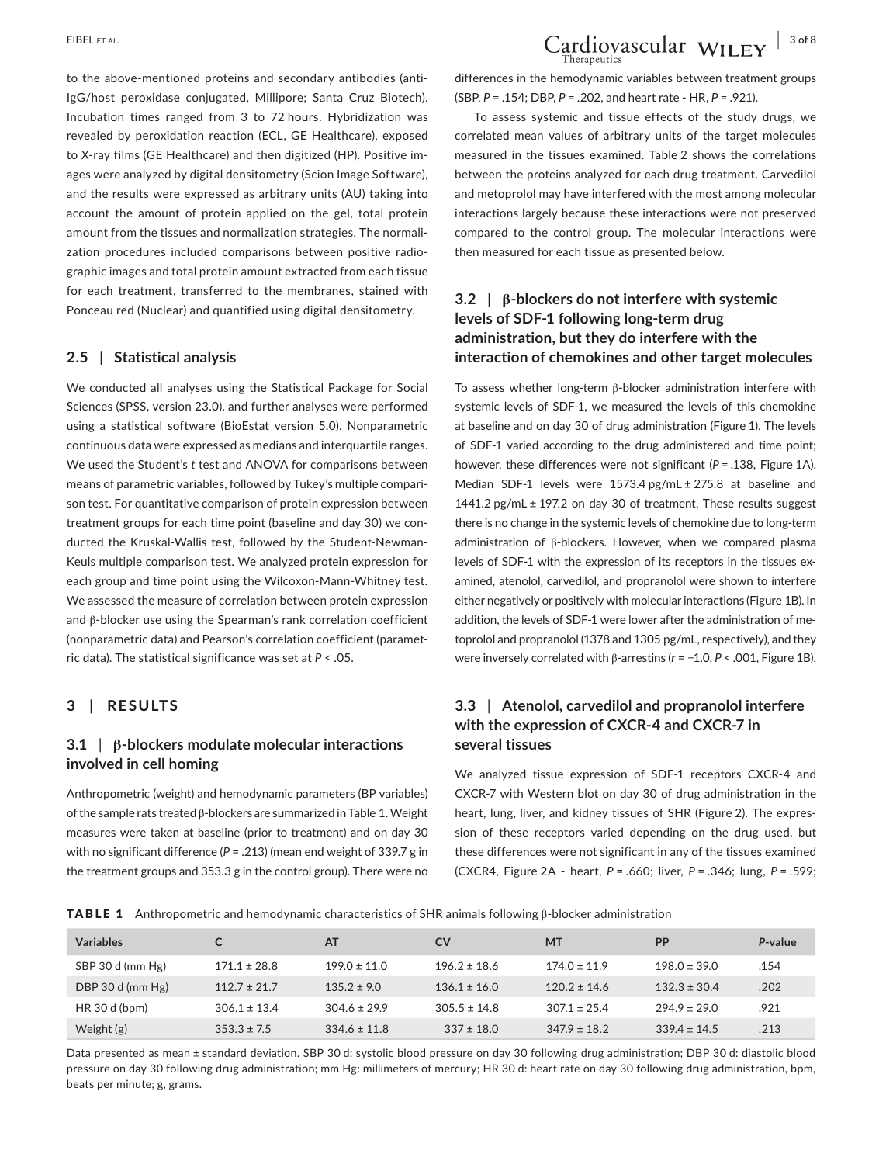to the above-mentioned proteins and secondary antibodies (anti-IgG/host peroxidase conjugated, Millipore; Santa Cruz Biotech). Incubation times ranged from 3 to 72 hours. Hybridization was revealed by peroxidation reaction (ECL, GE Healthcare), exposed to X-ray films (GE Healthcare) and then digitized (HP). Positive images were analyzed by digital densitometry (Scion Image Software), and the results were expressed as arbitrary units (AU) taking into account the amount of protein applied on the gel, total protein amount from the tissues and normalization strategies. The normalization procedures included comparisons between positive radiographic images and total protein amount extracted from each tissue for each treatment, transferred to the membranes, stained with Ponceau red (Nuclear) and quantified using digital densitometry.

## **2.5** | **Statistical analysis**

We conducted all analyses using the Statistical Package for Social Sciences (SPSS, version 23.0), and further analyses were performed using a statistical software (BioEstat version 5.0). Nonparametric continuous data were expressed as medians and interquartile ranges. We used the Student's *t* test and ANOVA for comparisons between means of parametric variables, followed by Tukey's multiple comparison test. For quantitative comparison of protein expression between treatment groups for each time point (baseline and day 30) we conducted the Kruskal-Wallis test, followed by the Student-Newman-Keuls multiple comparison test*.* We analyzed protein expression for each group and time point using the Wilcoxon-Mann-Whitney test*.* We assessed the measure of correlation between protein expression and β-blocker use using the Spearman's rank correlation coefficient (nonparametric data) and Pearson's correlation coefficient (parametric data). The statistical significance was set at *P* < .05.

## **3** | **RESULTS**

## **3.1** | **β-blockers modulate molecular interactions involved in cell homing**

Anthropometric (weight) and hemodynamic parameters (BP variables) of the sample rats treated β-blockers are summarized in Table 1. Weight measures were taken at baseline (prior to treatment) and on day 30 with no significant difference (*P* = .213) (mean end weight of 339.7 g in the treatment groups and 353.3 g in the control group). There were no

differences in the hemodynamic variables between treatment groups (SBP, *P* = .154; DBP, *P* = .202, and heart rate - HR, *P* = .921).

To assess systemic and tissue effects of the study drugs, we correlated mean values of arbitrary units of the target molecules measured in the tissues examined. Table 2 shows the correlations between the proteins analyzed for each drug treatment. Carvedilol and metoprolol may have interfered with the most among molecular interactions largely because these interactions were not preserved compared to the control group. The molecular interactions were then measured for each tissue as presented below.

## **3.2** | **β-blockers do not interfere with systemic levels of SDF-1 following long-term drug administration, but they do interfere with the interaction of chemokines and other target molecules**

To assess whether long-term β-blocker administration interfere with systemic levels of SDF-1, we measured the levels of this chemokine at baseline and on day 30 of drug administration (Figure 1). The levels of SDF-1 varied according to the drug administered and time point; however, these differences were not significant ( $P = .138$ , Figure 1A). Median SDF-1 levels were 1573.4 pg/mL ± 275.8 at baseline and 1441.2 pg/mL ± 197.2 on day 30 of treatment. These results suggest there is no change in the systemic levels of chemokine due to long-term administration of β-blockers. However, when we compared plasma levels of SDF-1 with the expression of its receptors in the tissues examined, atenolol, carvedilol, and propranolol were shown to interfere either negatively or positively with molecular interactions (Figure 1B). In addition, the levels of SDF-1 were lower after the administration of metoprolol and propranolol (1378 and 1305 pg/mL, respectively), and they were inversely correlated with β-arrestins (*r* = −1.0, *P* < .001, Figure 1B).

## **3.3** | **Atenolol, carvedilol and propranolol interfere with the expression of CXCR-4 and CXCR-7 in several tissues**

We analyzed tissue expression of SDF-1 receptors CXCR-4 and CXCR-7 with Western blot on day 30 of drug administration in the heart, lung, liver, and kidney tissues of SHR (Figure 2). The expression of these receptors varied depending on the drug used, but these differences were not significant in any of the tissues examined (CXCR4, Figure 2A - heart, *P* = .660; liver, *P* = .346; lung, *P* = .599;

TABLE 1 Anthropometric and hemodynamic characteristics of SHR animals following β-blocker administration

| <b>Variables</b> |                  | AT               | CV               | <b>MT</b>        | <b>PP</b>        | P-value |
|------------------|------------------|------------------|------------------|------------------|------------------|---------|
| SBP 30 d (mm Hg) | $171.1 \pm 28.8$ | $199.0 \pm 11.0$ | $196.2 \pm 18.6$ | $174.0 \pm 11.9$ | $198.0 \pm 39.0$ | .154    |
| DBP 30 d (mm Hg) | $112.7 \pm 21.7$ | $135.2 \pm 9.0$  | $136.1 \pm 16.0$ | $120.2 \pm 14.6$ | $132.3 \pm 30.4$ | .202    |
| HR 30 d (bpm)    | $306.1 \pm 13.4$ | $304.6 \pm 29.9$ | $305.5 \pm 14.8$ | $307.1 \pm 25.4$ | $794.9 \pm 79.0$ | .921    |
| Weight $(g)$     | $353.3 \pm 7.5$  | $334.6 \pm 11.8$ | $337 \pm 18.0$   | $347.9 \pm 18.2$ | $339.4 \pm 14.5$ | .213    |

Data presented as mean ± standard deviation. SBP 30 d: systolic blood pressure on day 30 following drug administration; DBP 30 d: diastolic blood pressure on day 30 following drug administration; mm Hg: millimeters of mercury; HR 30 d: heart rate on day 30 following drug administration, bpm, beats per minute; g, grams.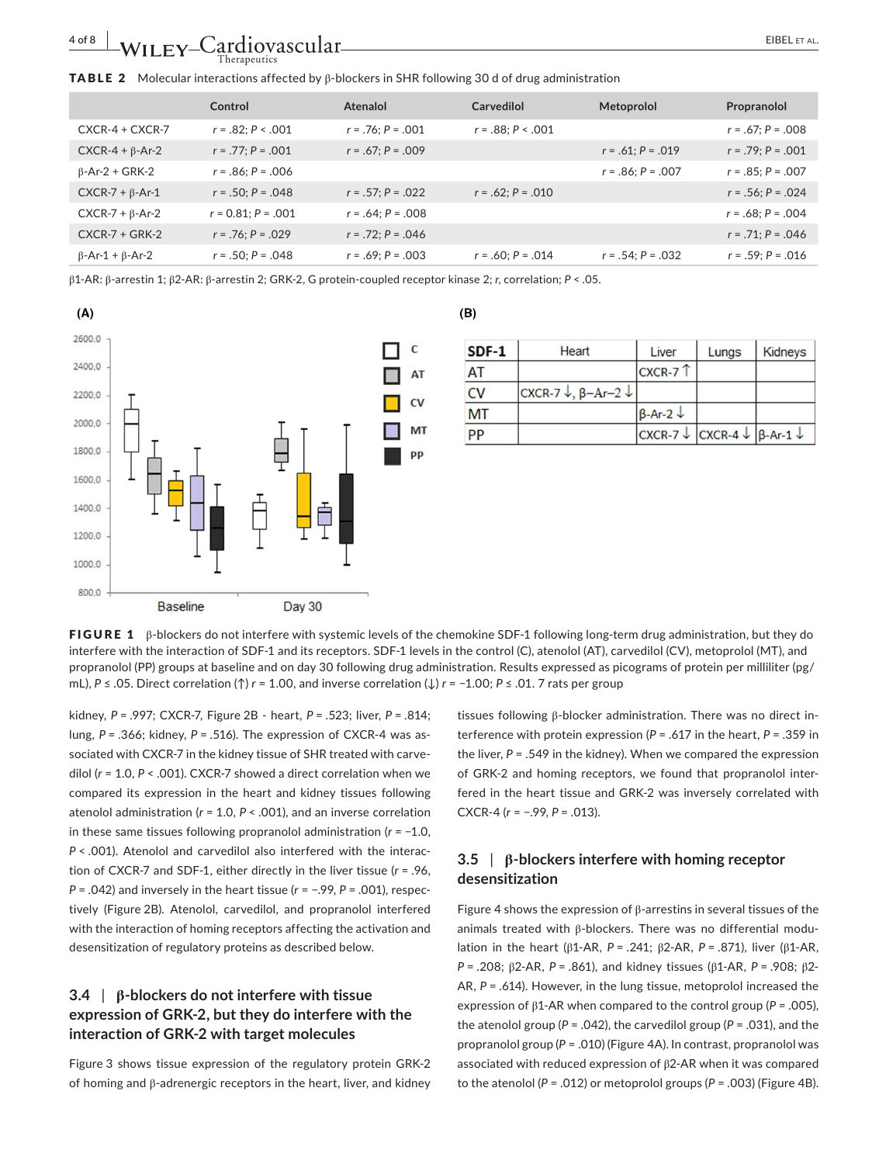#### TABLE 2 Molecular interactions affected by β-blockers in SHR following 30 d of drug administration

|                               | Control                 | Atenalol               | Carvedilol             | Metoprolol          | Propranolol            |
|-------------------------------|-------------------------|------------------------|------------------------|---------------------|------------------------|
| $CXCR-4 + CXCR-7$             | $r = .82; P < .001$     | $r = .76$ : $P = .001$ | $r = .88$ : $P < .001$ |                     | $r = .67; P = .008$    |
| $CXCR-4 + \beta-Ar-2$         | $r = .77$ : $P = .001$  | $r = .67; P = .009$    |                        | $r = .61; P = .019$ | $r = .79$ : $P = .001$ |
| $\beta$ -Ar-2 + GRK-2         | $r = .86; P = .006$     |                        |                        | $r = .86; P = .007$ | $r = .85$ : $P = .007$ |
| $CXCR-7 + \beta-Ar-1$         | $r = .50; P = .048$     | $r = .57: P = .022$    | $r = .62$ : $P = .010$ |                     | $r = .56; P = .024$    |
| $CXCR-7 + \beta-Ar-2$         | $r = 0.81$ : $P = .001$ | $r = .64$ ; $P = .008$ |                        |                     | $r = .68; P = .004$    |
| $CXCR-7 + GRK-2$              | $r = .76; P = .029$     | $r = .72; P = .046$    |                        |                     | $r = .71; P = .046$    |
| $\beta$ -Ar-1 + $\beta$ -Ar-2 | $r = .50$ ; $P = .048$  | $r = .69$ : $P = .003$ | $r = .60; P = .014$    | $r = .54; P = .032$ | $r = .59$ : $P = .016$ |

β1-AR: β-arrestin 1; β2-AR: β-arrestin 2; GRK-2, G protein-coupled receptor kinase 2; *r*, correlation; *P* < .05.



#### $(B)$

| $SDF-1$   | <b>Heart</b>              | Liver                                                       | Lungs | Kidneys |
|-----------|---------------------------|-------------------------------------------------------------|-------|---------|
| AT        |                           | $CXCR-7$                                                    |       |         |
| CV        | CXCR-7 ↓, $\beta$ -Ar-2 ↓ |                                                             |       |         |
| <b>MT</b> |                           | $\beta$ -Ar-2 $\downarrow$                                  |       |         |
| PP        |                           | $CXCR-7 \downarrow CXCR-4 \downarrow \beta-Ar-1 \downarrow$ |       |         |

FIGURE 1 β-blockers do not interfere with systemic levels of the chemokine SDF-1 following long-term drug administration, but they do interfere with the interaction of SDF-1 and its receptors. SDF-1 levels in the control (C), atenolol (AT), carvedilol (CV), metoprolol (MT), and propranolol (PP) groups at baseline and on day 30 following drug administration. Results expressed as picograms of protein per milliliter (pg/ mL), *P* ≤ .05. Direct correlation (↑) *r* = 1.00, and inverse correlation (↓) *r* = −1.00; *P* ≤ .01. 7 rats per group

kidney, *P* = .997; CXCR-7, Figure 2B - heart, *P* = .523; liver, *P* = .814; lung, *P* = .366; kidney, *P* = .516). The expression of CXCR-4 was associated with CXCR-7 in the kidney tissue of SHR treated with carvedilol (*r* = 1.0, *P* < .001). CXCR-7 showed a direct correlation when we compared its expression in the heart and kidney tissues following atenolol administration (*r* = 1.0, *P* < .001), and an inverse correlation in these same tissues following propranolol administration (*r* = −1.0, *P* < .001). Atenolol and carvedilol also interfered with the interaction of CXCR-7 and SDF-1, either directly in the liver tissue (*r* = .96, *P* = .042) and inversely in the heart tissue ( $r$  = −.99,  $P$  = .001), respectively (Figure 2B). Atenolol, carvedilol, and propranolol interfered with the interaction of homing receptors affecting the activation and desensitization of regulatory proteins as described below.

## **3.4** | **β-blockers do not interfere with tissue expression of GRK-2, but they do interfere with the interaction of GRK-2 with target molecules**

Figure 3 shows tissue expression of the regulatory protein GRK-2 of homing and β-adrenergic receptors in the heart, liver, and kidney

tissues following β-blocker administration. There was no direct interference with protein expression (*P* = .617 in the heart, *P* = .359 in the liver, *P* = .549 in the kidney). When we compared the expression of GRK-2 and homing receptors, we found that propranolol interfered in the heart tissue and GRK-2 was inversely correlated with CXCR-4 (*r* = −.99, *P* = .013).

## **3.5** | **β-blockers interfere with homing receptor desensitization**

Figure 4 shows the expression of β-arrestins in several tissues of the animals treated with β-blockers. There was no differential modulation in the heart (β1-AR, *P* = .241; β2-AR, *P* = .871), liver (β1-AR, *P* = .208; β2-AR, *P* = .861), and kidney tissues (β1-AR, *P* = .908; β2- AR, *P* = .614). However, in the lung tissue, metoprolol increased the expression of β1-AR when compared to the control group (*P* = .005), the atenolol group ( $P = .042$ ), the carvedilol group ( $P = .031$ ), and the propranolol group (*P* = .010) (Figure 4A). In contrast, propranolol was associated with reduced expression of β2-AR when it was compared to the atenolol (*P* = .012) or metoprolol groups (*P* = .003) (Figure 4B).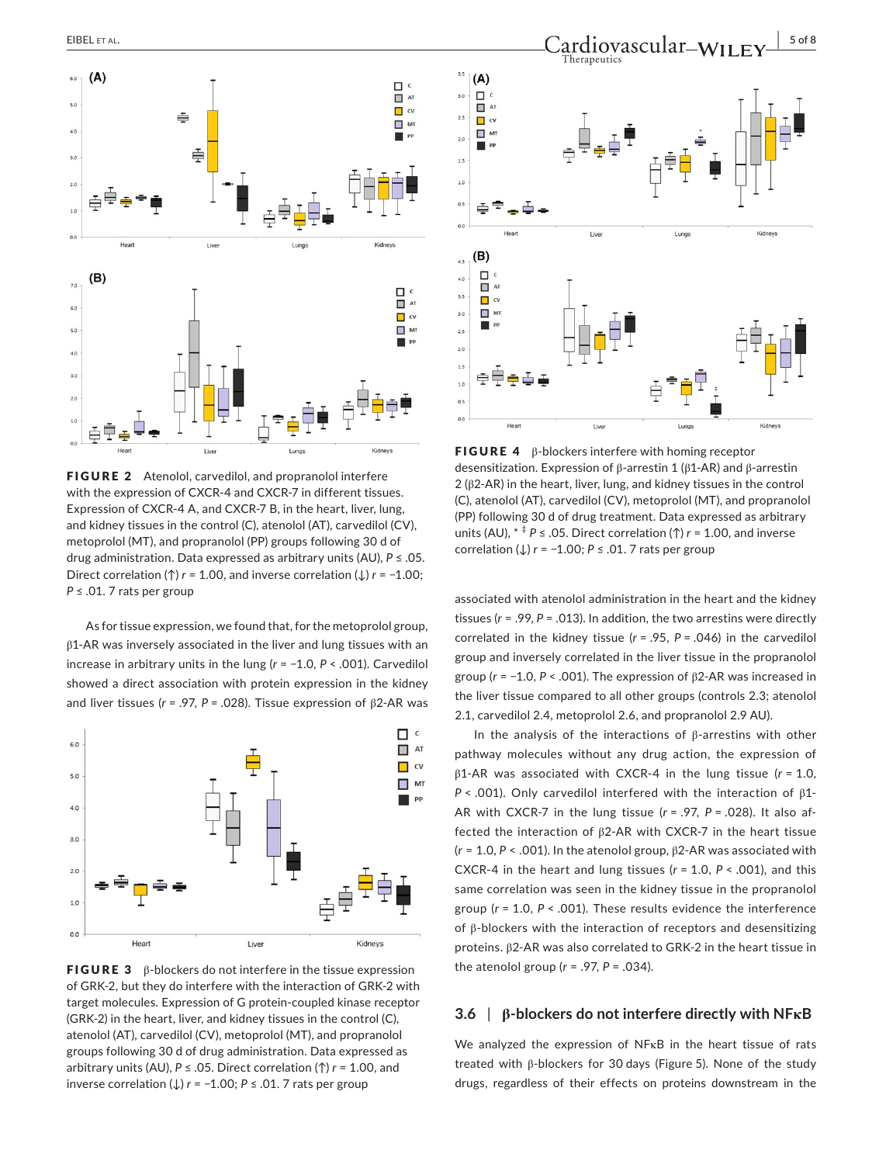

FIGURE 2 Atenolol, carvedilol, and propranolol interfere with the expression of CXCR-4 and CXCR-7 in different tissues. Expression of CXCR-4 A, and CXCR-7 B, in the heart, liver, lung, and kidney tissues in the control (C), atenolol (AT), carvedilol (CV), metoprolol (MT), and propranolol (PP) groups following 30 d of drug administration. Data expressed as arbitrary units (AU), *P* ≤ .05. Direct correlation (↑) *r* = 1.00, and inverse correlation (↓) *r* = −1.00; *P* ≤ .01. 7 rats per group

As for tissue expression, we found that, for the metoprolol group, β1-AR was inversely associated in the liver and lung tissues with an increase in arbitrary units in the lung (*r* = −1.0, *P* < .001). Carvedilol showed a direct association with protein expression in the kidney and liver tissues (*r* = .97, *P* = .028). Tissue expression of β2-AR was



**FIGURE 3** β-blockers do not interfere in the tissue expression of GRK-2, but they do interfere with the interaction of GRK-2 with target molecules. Expression of G protein-coupled kinase receptor (GRK-2) in the heart, liver, and kidney tissues in the control (C), atenolol (AT), carvedilol (CV), metoprolol (MT), and propranolol groups following 30 d of drug administration. Data expressed as arbitrary units (AU), *P* ≤ .05. Direct correlation (↑) *r* = 1.00, and inverse correlation (↓) *r* = −1.00; *P* ≤ .01. 7 rats per group



**FIGURE 4** β-blockers interfere with homing receptor desensitization. Expression of β-arrestin 1 (β1-AR) and β-arrestin 2 (β2-AR) in the heart, liver, lung, and kidney tissues in the control (C), atenolol (AT), carvedilol (CV), metoprolol (MT), and propranolol (PP) following 30 d of drug treatment. Data expressed as arbitrary units (AU),  $* \neq P \leq .05$ . Direct correlation ( $\uparrow$ ) *r* = 1.00, and inverse correlation (↓) *r* = −1.00; *P* ≤ .01. 7 rats per group

associated with atenolol administration in the heart and the kidney tissues (*r* = .99, *P* = .013). In addition, the two arrestins were directly correlated in the kidney tissue (*r* = .95, *P* = .046) in the carvedilol group and inversely correlated in the liver tissue in the propranolol group (*r* = −1.0, *P* < .001). The expression of β2-AR was increased in the liver tissue compared to all other groups (controls 2.3; atenolol 2.1, carvedilol 2.4, metoprolol 2.6, and propranolol 2.9 AU).

In the analysis of the interactions of β-arrestins with other pathway molecules without any drug action, the expression of β1-AR was associated with CXCR-4 in the lung tissue (*r* = 1.0, *P* < .001). Only carvedilol interfered with the interaction of β1- AR with CXCR-7 in the lung tissue (*r* = .97, *P* = .028). It also affected the interaction of β2-AR with CXCR-7 in the heart tissue (*r* = 1.0, *P* < .001). In the atenolol group, β2-AR was associated with CXCR-4 in the heart and lung tissues (*r* = 1.0, *P* < .001), and this same correlation was seen in the kidney tissue in the propranolol group (*r* = 1.0, *P* < .001). These results evidence the interference of β-blockers with the interaction of receptors and desensitizing proteins. β2-AR was also correlated to GRK-2 in the heart tissue in the atenolol group (*r* = .97, *P* = .034).

## **3.6** | **β-blockers do not interfere directly with NFκB**

We analyzed the expression of NFκB in the heart tissue of rats treated with β-blockers for 30 days (Figure 5). None of the study drugs, regardless of their effects on proteins downstream in the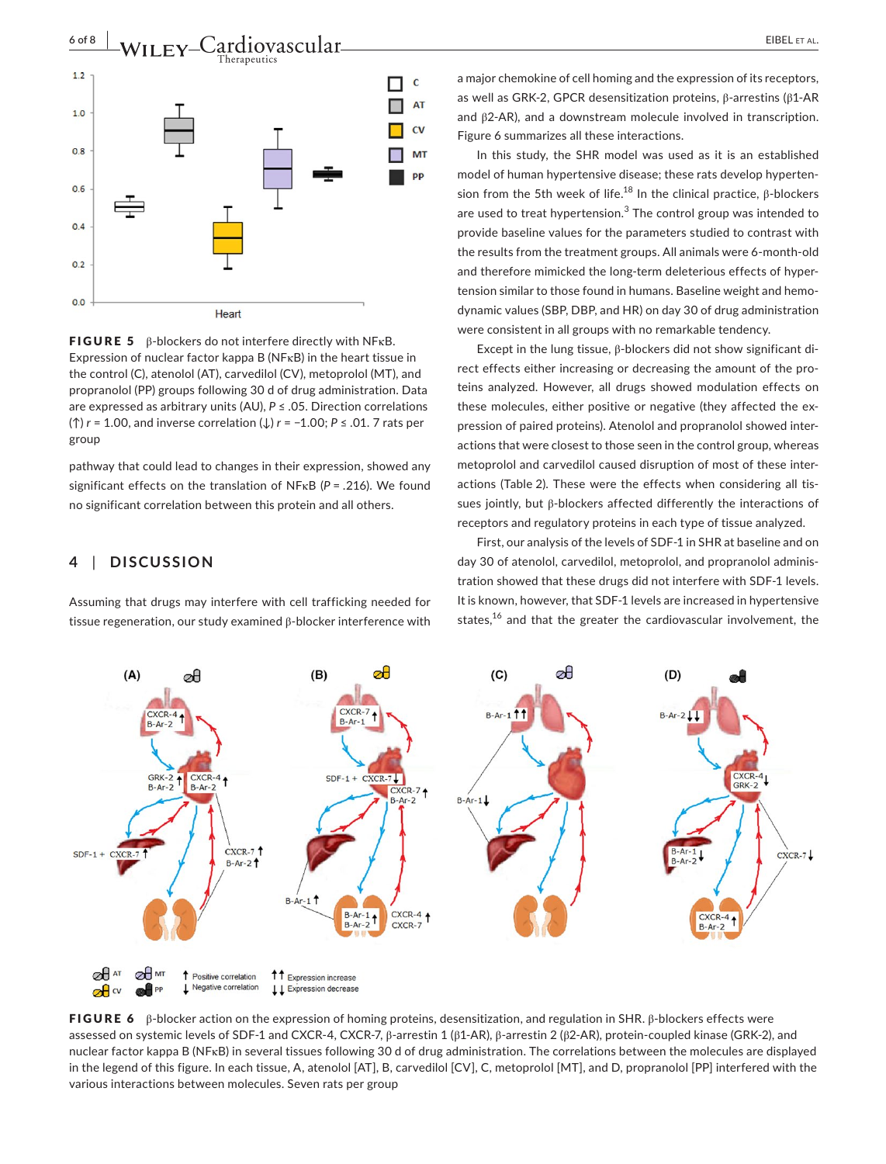



**FIGURE 5** β-blockers do not interfere directly with NF $\kappa$ B. Expression of nuclear factor kappa B (NFκB) in the heart tissue in the control (C), atenolol (AT), carvedilol (CV), metoprolol (MT), and propranolol (PP) groups following 30 d of drug administration. Data are expressed as arbitrary units (AU), *P* ≤ .05. Direction correlations (↑) *r* = 1.00, and inverse correlation (↓) *r* = −1.00; *P* ≤ .01. 7 rats per group

pathway that could lead to changes in their expression, showed any significant effects on the translation of NFκB (*P* = .216). We found no significant correlation between this protein and all others.

## **4** | **DISCUSSION**

Assuming that drugs may interfere with cell trafficking needed for tissue regeneration, our study examined β-blocker interference with a major chemokine of cell homing and the expression of its receptors, as well as GRK-2, GPCR desensitization proteins, β-arrestins (β1-AR and β2-AR), and a downstream molecule involved in transcription. Figure 6 summarizes all these interactions.

In this study, the SHR model was used as it is an established model of human hypertensive disease; these rats develop hypertension from the 5th week of life.<sup>18</sup> In the clinical practice,  $β$ -blockers are used to treat hypertension. $3$  The control group was intended to provide baseline values for the parameters studied to contrast with the results from the treatment groups. All animals were 6-month-old and therefore mimicked the long-term deleterious effects of hypertension similar to those found in humans. Baseline weight and hemodynamic values (SBP, DBP, and HR) on day 30 of drug administration were consistent in all groups with no remarkable tendency.

Except in the lung tissue, β-blockers did not show significant direct effects either increasing or decreasing the amount of the proteins analyzed. However, all drugs showed modulation effects on these molecules, either positive or negative (they affected the expression of paired proteins). Atenolol and propranolol showed interactions that were closest to those seen in the control group, whereas metoprolol and carvedilol caused disruption of most of these interactions (Table 2). These were the effects when considering all tissues jointly, but β-blockers affected differently the interactions of receptors and regulatory proteins in each type of tissue analyzed.

First, our analysis of the levels of SDF-1 in SHR at baseline and on day 30 of atenolol, carvedilol, metoprolol, and propranolol administration showed that these drugs did not interfere with SDF-1 levels. It is known, however, that SDF-1 levels are increased in hypertensive states,<sup>16</sup> and that the greater the cardiovascular involvement, the



**FIGURE 6** β-blocker action on the expression of homing proteins, desensitization, and regulation in SHR. β-blockers effects were assessed on systemic levels of SDF-1 and CXCR-4, CXCR-7, β-arrestin 1 (β1-AR), β-arrestin 2 (β2-AR), protein-coupled kinase (GRK-2), and nuclear factor kappa B (NFκB) in several tissues following 30 d of drug administration. The correlations between the molecules are displayed in the legend of this figure. In each tissue, A, atenolol [AT], B, carvedilol [CV], C, metoprolol [MT], and D, propranolol [PP] interfered with the various interactions between molecules. Seven rats per group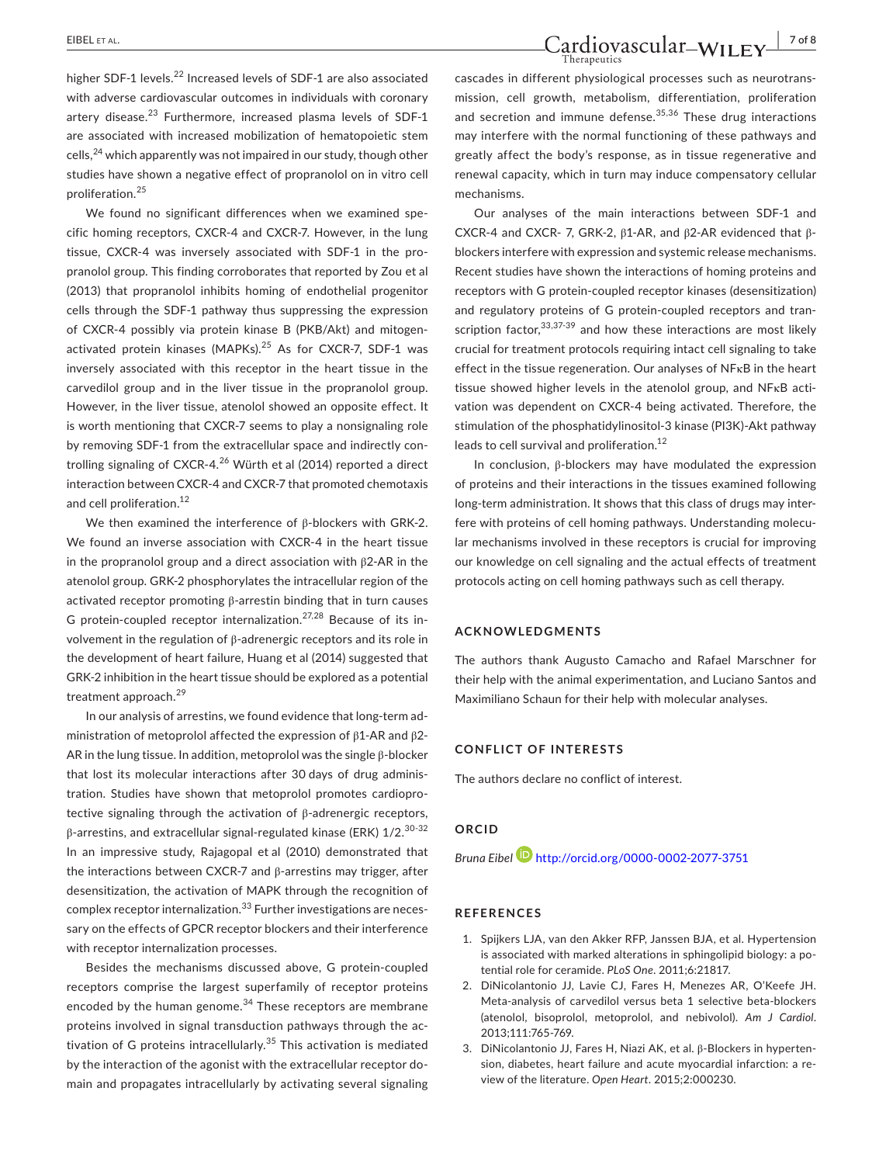higher SDF-1 levels.<sup>22</sup> Increased levels of SDF-1 are also associated with adverse cardiovascular outcomes in individuals with coronary artery disease.<sup>23</sup> Furthermore, increased plasma levels of SDF-1 are associated with increased mobilization of hematopoietic stem cells,24 which apparently was not impaired in our study, though other studies have shown a negative effect of propranolol on in vitro cell proliferation.<sup>25</sup>

We found no significant differences when we examined specific homing receptors*,* CXCR-4 and CXCR-7. However, in the lung tissue, CXCR-4 was inversely associated with SDF-1 in the propranolol group. This finding corroborates that reported by Zou et al (2013) that propranolol inhibits homing of endothelial progenitor cells through the SDF-1 pathway thus suppressing the expression of CXCR-4 possibly via protein kinase B (PKB/Akt) and mitogenactivated protein kinases (MAPKs).<sup>25</sup> As for CXCR-7, SDF-1 was inversely associated with this receptor in the heart tissue in the carvedilol group and in the liver tissue in the propranolol group. However, in the liver tissue, atenolol showed an opposite effect. It is worth mentioning that CXCR-7 seems to play a nonsignaling role by removing SDF-1 from the extracellular space and indirectly controlling signaling of CXCR-4.26 Würth et al (2014) reported a direct interaction between CXCR-4 and CXCR-7 that promoted chemotaxis and cell proliferation.<sup>12</sup>

We then examined the interference of β-blockers with GRK-2. We found an inverse association with CXCR-4 in the heart tissue in the propranolol group and a direct association with β2-AR in the atenolol group. GRK-2 phosphorylates the intracellular region of the activated receptor promoting β-arrestin binding that in turn causes G protein-coupled receptor internalization.<sup>27,28</sup> Because of its involvement in the regulation of β-adrenergic receptors and its role in the development of heart failure, Huang et al (2014) suggested that GRK-2 inhibition in the heart tissue should be explored as a potential treatment approach.<sup>29</sup>

In our analysis of arrestins, we found evidence that long-term administration of metoprolol affected the expression of β1-AR and β2- AR in the lung tissue. In addition, metoprolol was the single β-blocker that lost its molecular interactions after 30 days of drug administration. Studies have shown that metoprolol promotes cardioprotective signaling through the activation of β-adrenergic receptors, β-arrestins, and extracellular signal-regulated kinase (ERK) 1/2.30-32 In an impressive study, Rajagopal et al (2010) demonstrated that the interactions between CXCR-7 and β-arrestins may trigger, after desensitization, the activation of MAPK through the recognition of complex receptor internalization.<sup>33</sup> Further investigations are necessary on the effects of GPCR receptor blockers and their interference with receptor internalization processes.

Besides the mechanisms discussed above, G protein-coupled receptors comprise the largest superfamily of receptor proteins encoded by the human genome.<sup>34</sup> These receptors are membrane proteins involved in signal transduction pathways through the activation of G proteins intracellularly.<sup>35</sup> This activation is mediated by the interaction of the agonist with the extracellular receptor domain and propagates intracellularly by activating several signaling

# EIBEL ET AL. **Cardiovascular-WILEY** 7018

cascades in different physiological processes such as neurotransmission, cell growth, metabolism, differentiation, proliferation and secretion and immune defense.<sup>35,36</sup> These drug interactions may interfere with the normal functioning of these pathways and greatly affect the body's response, as in tissue regenerative and renewal capacity, which in turn may induce compensatory cellular mechanisms.

Our analyses of the main interactions between SDF-1 and CXCR-4 and CXCR- 7, GRK-2, β1-AR, and β2-AR evidenced that βblockers interfere with expression and systemic release mechanisms. Recent studies have shown the interactions of homing proteins and receptors with G protein-coupled receptor kinases (desensitization) and regulatory proteins of G protein-coupled receptors and transcription factor,  $33,37-39$  and how these interactions are most likely crucial for treatment protocols requiring intact cell signaling to take effect in the tissue regeneration. Our analyses of NFκB in the heart tissue showed higher levels in the atenolol group, and NFκB activation was dependent on CXCR-4 being activated. Therefore, the stimulation of the phosphatidylinositol-3 kinase (PI3K)-Akt pathway leads to cell survival and proliferation.<sup>12</sup>

In conclusion, β-blockers may have modulated the expression of proteins and their interactions in the tissues examined following long-term administration. It shows that this class of drugs may interfere with proteins of cell homing pathways. Understanding molecular mechanisms involved in these receptors is crucial for improving our knowledge on cell signaling and the actual effects of treatment protocols acting on cell homing pathways such as cell therapy.

#### **ACKNOWLEDGMENTS**

The authors thank Augusto Camacho and Rafael Marschner for their help with the animal experimentation, and Luciano Santos and Maximiliano Schaun for their help with molecular analyses.

#### **CONFLICT OF INTERESTS**

The authors declare no conflict of interest.

## **ORCID**

*Bruna Eibel* <http://orcid.org/0000-0002-2077-3751>

#### **REFERENCES**

- 1. Spijkers LJA, van den Akker RFP, Janssen BJA, et al. Hypertension is associated with marked alterations in sphingolipid biology: a potential role for ceramide. *PLoS One*. 2011;6:21817.
- 2. DiNicolantonio JJ, Lavie CJ, Fares H, Menezes AR, O'Keefe JH. Meta-analysis of carvedilol versus beta 1 selective beta-blockers (atenolol, bisoprolol, metoprolol, and nebivolol). *Am J Cardiol*. 2013;111:765-769.
- 3. DiNicolantonio JJ, Fares H, Niazi AK, et al. β-Blockers in hypertension, diabetes, heart failure and acute myocardial infarction: a review of the literature. *Open Heart*. 2015;2:000230.